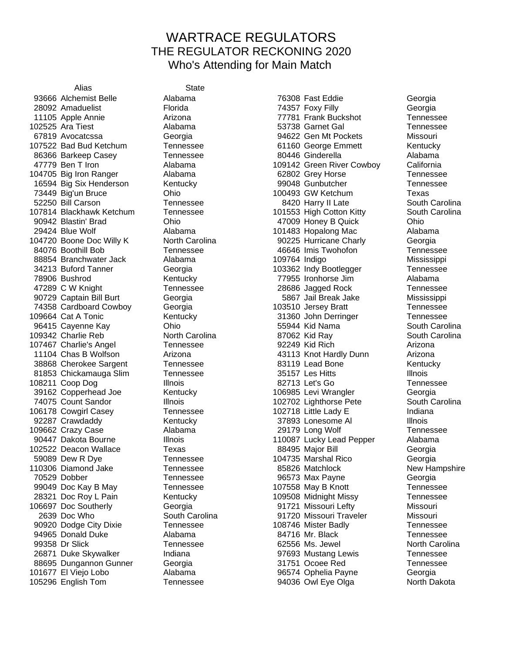## WARTRACE REGULATORS THE REGULATOR RECKONING 2020 Who's Attending for Main Match

Alias State Alchemist Belle Alabama 76308 Fast Eddie Georgia

 Amaduelist Florida 74357 Foxy Filly Georgia Apple Annie Arizona 77781 Frank Buckshot Tennessee Ara Tiest Alabama 53738 Garnet Gal Tennessee Avocatcssa Georgia 94622 Gen Mt Pockets Missouri Bad Bud Ketchum Tennessee 61160 George Emmett Kentucky 86366 Barkeep Casey Tennessee 600446 Ginderella and Alabama Ben T Iron Alabama 109142 Green River Cowboy California Big Iron Ranger Alabama 62802 Grey Horse Tennessee Big Six Henderson Kentucky 99048 Gunbutcher Tennessee Big'un Bruce Ohio 100493 GW Ketchum Texas Bill Carson Tennessee 8420 Harry II Late South Carolina 107814 Blackhawk Ketchum Tennessee 101553 High Cotton Kitty South Carolina Blastin' Brad Ohio 47009 Honey B Quick Ohio 29424 Blue Wolf **Alabama** 101483 Hopalong Mac Alabama Boone Doc Willy K North Carolina 90225 Hurricane Charly Georgia Boothill Bob Tennessee 46646 Imis Twohofon Tennessee 88854 Branchwater Jack Alabama 109764 Indigo Mississippi Buford Tanner Georgia 103362 Indy Bootlegger Tennessee Bushrod Kentucky 77955 Ironhorse Jim Alabama C W Knight Tennessee 28686 Jagged Rock Tennessee Captain Bill Burt Georgia 5867 Jail Break Jake Mississippi Cardboard Cowboy Georgia 103510 Jersey Bratt Tennessee 109664 Cat A Tonic **Kentucky Kentucky** 31360 John Derringer Tennessee Cayenne Kay Ohio 55944 Kid Nama South Carolina 109342 Charlie Reb **North Carolina 87062 Kid Ray** South Carolina Charlie's Angel Tennessee 92249 Kid Rich Arizona Chas B Wolfson Arizona 43113 Knot Hardly Dunn Arizona 38868 Cherokee Sargent Tennessee 63119 Lead Bone Kentucky 81853 Chickamauga Slim Tennessee 35157 Les Hitts Illnois Coop Dog Illnois 82713 Let's Go Tennessee Copperhead Joe Kentucky 106985 Levi Wrangler Georgia Count Sandor Illnois 102702 Lighthorse Pete South Carolina Cowgirl Casey Tennessee 102718 Little Lady E Indiana 92287 Crawdaddy Kentucky 37893 Lonesome Al Illnois Crazy Case Alabama 29179 Long Wolf Tennessee 90447 Dakota Bourne **Illnois** Illnois 110087 Lucky Lead Pepper Alabama Deacon Wallace Texas 88495 Major Bill Georgia 59089 Dew R Dye Tennessee 104735 Marshal Rico Georgia 110306 Diamond Jake Tennessee 65826 Matchlock New Hampshire Dobber Tennessee 96573 Max Payne Georgia 99049 Doc Kay B May Tennessee 107558 May B Knott Tennessee 28321 Doc Roy L Pain **Kentucky** 109508 Midnight Missy **Tennessee** 106697 Doc Southerly **Georgia** Georgia 106697 Doc Southerly Missouri Company Georgia 106697 Doc Southerly Doc Who South Carolina 91720 Missouri Traveler Missouri Dodge City Dixie Tennessee 108746 Mister Badly Tennessee 94965 Donald Duke **Alabama** Alabama 84716 Mr. Black Tennessee 99358 Dr Slick **Tennessee 62556 Ms. Jewel North Carolina**  Duke Skywalker Indiana 97693 Mustang Lewis Tennessee Dungannon Gunner Georgia 31751 Ocoee Red Tennessee El Viejo Lobo Alabama 96574 Ophelia Payne Georgia English Tom Tennessee 94036 Owl Eye Olga North Dakota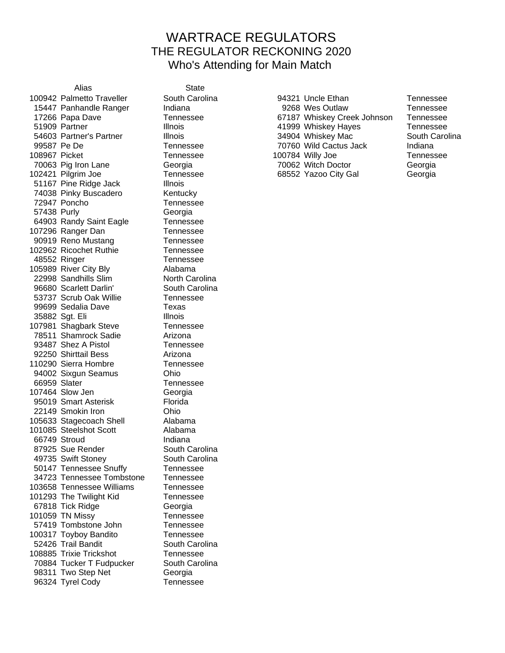## WARTRACE REGULATORS THE REGULATOR RECKONING 2020 Who's Attending for Main Match

Alias State 100942 Palmetto Traveller South Carolina 94321 Uncle Ethan Tennessee 51167 Pine Ridge Jack Illnois 74038 Pinky Buscadero Kentucky 72947 Poncho Tennessee 57438 Purly Georgia 64903 Randy Saint Eagle Tennessee 107296 Ranger Dan Tennessee 90919 Reno Mustang Tennessee 102962 Ricochet Ruthie Tennessee 48552 Ringer Tennessee 105989 River City Bly Alabama 22998 Sandhills Slim North Carolina 96680 Scarlett Darlin' South Carolina 53737 Scrub Oak Willie Tennessee 99699 Sedalia Dave Texas 35882 Sgt. Eli Illnois 107981 Shagbark Steve Tennessee 78511 Shamrock Sadie **Arizona** 93487 Shez A Pistol **Tennessee** 92250 Shirttail Bess Arizona 110290 Sierra Hombre Tennessee 94002 Sixgun Seamus **Ohio** 66959 Slater Tennessee 107464 Slow Jen Georgia 95019 Smart Asterisk Florida 22149 Smokin Iron Ohio 105633 Stagecoach Shell Alabama 101085 Steelshot Scott Alabama 66749 Stroud Indiana 87925 Sue Render South Carolina 49735 Swift Stoney South Carolina 50147 Tennessee Snuffy Tennessee 34723 Tennessee Tombstone Tennessee 103658 Tennessee Williams Tennessee 101293 The Twilight Kid Tennessee 67818 Tick Ridge Georgia 101059 TN Missy **Tennessee** 57419 Tombstone John Tennessee 100317 Toyboy Bandito Tennessee 52426 Trail Bandit South Carolina 108885 Trixie Trickshot Tennessee 70884 Tucker T Fudpucker South Carolina 98311 Two Step Net Georgia 96324 Tyrel Cody Tennessee

15447 Panhandle Ranger and Indiana and the Sea 9268 Wes Outlaw Tennessee 17266 Papa Dave Tennessee 67187 Whiskey Creek Johnson Tennessee 51909 Partner Tennessee Communist Communist Communist Communist Communist Communist Communist Communist Communist Communist Communist Communist Communist Communist Communist Communist Communist Communist Communist Communis 54603 Partner's Partner **Illnois** Illnois **34904 Whiskey Mac** South Carolina 99587 Pe De Tennessee 70760 Wild Cactus Jack Indiana 108967 Picket Tennessee 100784 Willy Joe Tennessee 70063 Pig Iron Lane Georgia 70062 Witch Doctor Georgia 102421 Pilgrim Joe Tennessee 68552 Yazoo City Gal Georgia